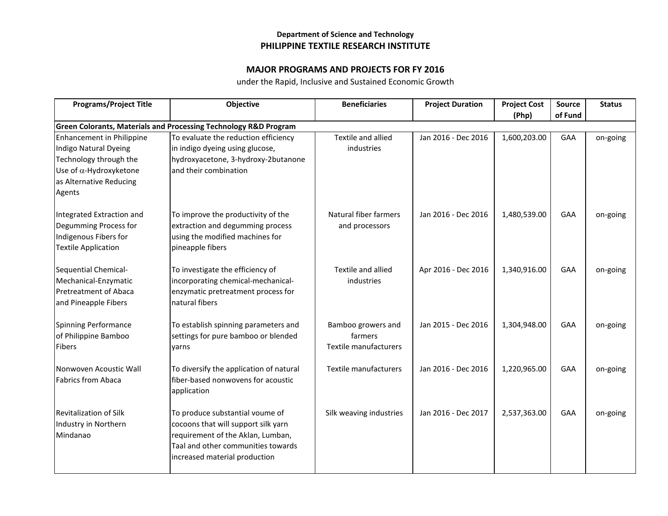## **Department of Science and Technology PHILIPPINE TEXTILE RESEARCH INSTITUTE**

## **MAJOR PROGRAMS AND PROJECTS FOR FY 2016**

under the Rapid, Inclusive and Sustained Economic Growth

| <b>Programs/Project Title</b>                                                                                                                       | <b>Objective</b>                                                                                                                                                                   | <b>Beneficiaries</b>                                   | <b>Project Duration</b> | <b>Project Cost</b><br>(Php) | Source<br>of Fund | <b>Status</b> |  |
|-----------------------------------------------------------------------------------------------------------------------------------------------------|------------------------------------------------------------------------------------------------------------------------------------------------------------------------------------|--------------------------------------------------------|-------------------------|------------------------------|-------------------|---------------|--|
| <b>Green Colorants, Materials and Processing Technology R&amp;D Program</b>                                                                         |                                                                                                                                                                                    |                                                        |                         |                              |                   |               |  |
| Enhancement in Philippine<br>Indigo Natural Dyeing<br>Technology through the<br>Use of $\alpha$ -Hydroxyketone<br>as Alternative Reducing<br>Agents | To evaluate the reduction efficiency<br>in indigo dyeing using glucose,<br>hydroxyacetone, 3-hydroxy-2butanone<br>and their combination                                            | Textile and allied<br>industries                       | Jan 2016 - Dec 2016     | 1,600,203.00                 | GAA               | on-going      |  |
| Integrated Extraction and<br>Degumming Process for<br>Indigenous Fibers for<br><b>Textile Application</b>                                           | To improve the productivity of the<br>extraction and degumming process<br>using the modified machines for<br>pineapple fibers                                                      | Natural fiber farmers<br>and processors                | Jan 2016 - Dec 2016     | 1,480,539.00                 | GAA               | on-going      |  |
| Sequential Chemical-<br>Mechanical-Enzymatic<br><b>Pretreatment of Abaca</b><br>and Pineapple Fibers                                                | To investigate the efficiency of<br>incorporating chemical-mechanical-<br>enzymatic pretreatment process for<br>natural fibers                                                     | Textile and allied<br>industries                       | Apr 2016 - Dec 2016     | 1,340,916.00                 | GAA               | on-going      |  |
| <b>Spinning Performance</b><br>of Philippine Bamboo<br><b>Fibers</b>                                                                                | To establish spinning parameters and<br>settings for pure bamboo or blended<br>yarns                                                                                               | Bamboo growers and<br>farmers<br>Textile manufacturers | Jan 2015 - Dec 2016     | 1,304,948.00                 | GAA               | on-going      |  |
| Nonwoven Acoustic Wall<br><b>Fabrics from Abaca</b>                                                                                                 | To diversify the application of natural<br>fiber-based nonwovens for acoustic<br>application                                                                                       | Textile manufacturers                                  | Jan 2016 - Dec 2016     | 1,220,965.00                 | GAA               | on-going      |  |
| <b>Revitalization of Silk</b><br>Industry in Northern<br>Mindanao                                                                                   | To produce substantial voume of<br>cocoons that will support silk yarn<br>requirement of the Aklan, Lumban,<br>Taal and other communities towards<br>increased material production | Silk weaving industries                                | Jan 2016 - Dec 2017     | 2,537,363.00                 | GAA               | on-going      |  |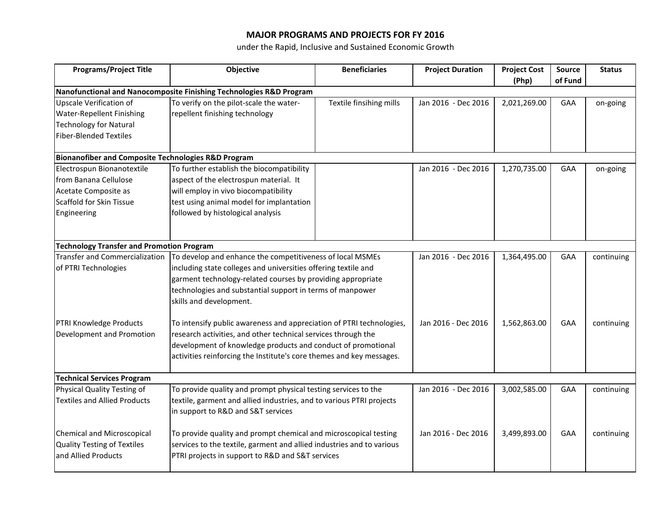## **MAJOR PROGRAMS AND PROJECTS FOR FY 2016**

under the Rapid, Inclusive and Sustained Economic Growth

| <b>Programs/Project Title</b>                                       | Objective                                                                                                                                                                                                                                                                     | <b>Beneficiaries</b>    | <b>Project Duration</b> | <b>Project Cost</b> | Source     | <b>Status</b> |  |  |
|---------------------------------------------------------------------|-------------------------------------------------------------------------------------------------------------------------------------------------------------------------------------------------------------------------------------------------------------------------------|-------------------------|-------------------------|---------------------|------------|---------------|--|--|
|                                                                     |                                                                                                                                                                                                                                                                               |                         |                         | (Php)               | of Fund    |               |  |  |
| Nanofunctional and Nanocomposite Finishing Technologies R&D Program |                                                                                                                                                                                                                                                                               |                         |                         |                     |            |               |  |  |
| Upscale Verification of                                             | To verify on the pilot-scale the water-                                                                                                                                                                                                                                       | Textile finsihing mills | Jan 2016 - Dec 2016     | 2,021,269.00        | GAA        | on-going      |  |  |
| <b>Water-Repellent Finishing</b>                                    | repellent finishing technology                                                                                                                                                                                                                                                |                         |                         |                     |            |               |  |  |
| <b>Technology for Natural</b>                                       |                                                                                                                                                                                                                                                                               |                         |                         |                     |            |               |  |  |
| <b>Fiber-Blended Textiles</b>                                       |                                                                                                                                                                                                                                                                               |                         |                         |                     |            |               |  |  |
| <b>Bionanofiber and Composite Technologies R&amp;D Program</b>      |                                                                                                                                                                                                                                                                               |                         |                         |                     |            |               |  |  |
| Electrospun Bionanotextile                                          | To further establish the biocompatibility                                                                                                                                                                                                                                     |                         | Jan 2016 - Dec 2016     | 1,270,735.00        | GAA        | on-going      |  |  |
| from Banana Cellulose                                               | aspect of the electrospun material. It                                                                                                                                                                                                                                        |                         |                         |                     |            |               |  |  |
| Acetate Composite as                                                | will employ in vivo biocompatibility                                                                                                                                                                                                                                          |                         |                         |                     |            |               |  |  |
| Scaffold for Skin Tissue                                            | test using animal model for implantation                                                                                                                                                                                                                                      |                         |                         |                     |            |               |  |  |
| Engineering                                                         | followed by histological analysis                                                                                                                                                                                                                                             |                         |                         |                     |            |               |  |  |
|                                                                     |                                                                                                                                                                                                                                                                               |                         |                         |                     |            |               |  |  |
| <b>Technology Transfer and Promotion Program</b>                    |                                                                                                                                                                                                                                                                               |                         |                         |                     |            |               |  |  |
| <b>Transfer and Commercialization</b>                               | To develop and enhance the competitiveness of local MSMEs                                                                                                                                                                                                                     |                         | Jan 2016 - Dec 2016     | 1,364,495.00        | GAA        | continuing    |  |  |
| of PTRI Technologies                                                | including state colleges and universities offering textile and                                                                                                                                                                                                                |                         |                         |                     |            |               |  |  |
|                                                                     | garment technology-related courses by providing appropriate<br>technologies and substantial support in terms of manpower                                                                                                                                                      |                         |                         |                     |            |               |  |  |
|                                                                     |                                                                                                                                                                                                                                                                               |                         |                         |                     |            |               |  |  |
|                                                                     | skills and development.                                                                                                                                                                                                                                                       |                         |                         |                     |            |               |  |  |
|                                                                     |                                                                                                                                                                                                                                                                               |                         |                         |                     |            |               |  |  |
| PTRI Knowledge Products<br>Development and Promotion                | To intensify public awareness and appreciation of PTRI technologies,<br>research activities, and other technical services through the<br>development of knowledge products and conduct of promotional<br>activities reinforcing the Institute's core themes and key messages. |                         | Jan 2016 - Dec 2016     | 1,562,863.00        | GAA        | continuing    |  |  |
|                                                                     |                                                                                                                                                                                                                                                                               |                         |                         |                     |            |               |  |  |
|                                                                     |                                                                                                                                                                                                                                                                               |                         |                         |                     |            |               |  |  |
|                                                                     |                                                                                                                                                                                                                                                                               |                         |                         |                     |            |               |  |  |
| <b>Technical Services Program</b>                                   |                                                                                                                                                                                                                                                                               |                         |                         |                     |            |               |  |  |
| Physical Quality Testing of                                         | To provide quality and prompt physical testing services to the                                                                                                                                                                                                                |                         | Jan 2016 - Dec 2016     | 3,002,585.00        | <b>GAA</b> | continuing    |  |  |
| <b>Textiles and Allied Products</b>                                 | textile, garment and allied industries, and to various PTRI projects                                                                                                                                                                                                          |                         |                         |                     |            |               |  |  |
|                                                                     | in support to R&D and S&T services                                                                                                                                                                                                                                            |                         |                         |                     |            |               |  |  |
| <b>Chemical and Microscopical</b>                                   | To provide quality and prompt chemical and microscopical testing                                                                                                                                                                                                              |                         | Jan 2016 - Dec 2016     | 3,499,893.00        | <b>GAA</b> | continuing    |  |  |
| <b>Quality Testing of Textiles</b>                                  | services to the textile, garment and allied industries and to various                                                                                                                                                                                                         |                         |                         |                     |            |               |  |  |
| and Allied Products                                                 | PTRI projects in support to R&D and S&T services                                                                                                                                                                                                                              |                         |                         |                     |            |               |  |  |
|                                                                     |                                                                                                                                                                                                                                                                               |                         |                         |                     |            |               |  |  |